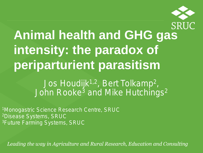

# **Animal health and GHG gas intensity: the paradox of periparturient parasitism**

Jos Houdijk<sup>1,2</sup>, Bert Tolkamp<sup>2</sup>, John Rooke<sup>3</sup> and Mike Hutchings<sup>2</sup>

1Monogastric Science Research Centre, SRUC 2Disease Systems, SRUC 3Future Farming Systems, SRUC

Leading the way in Agriculture and Rural Research, Education and Consulting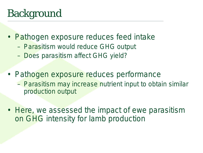## Background

- Pathogen exposure reduces feed intake
	- Parasitism would reduce GHG output
	- Does parasitism affect GHG yield?
- Pathogen exposure reduces performance – Parasitism may increase nutrient input to obtain similar production output
- Here, we assessed the impact of ewe parasitism on GHG intensity for lamb production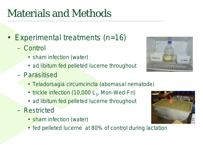## Materials and Methods

- Experimental treatments (n=16)
	- Control
		- sham infection (water)
		- *ad libitum* fed pelleted lucerne throughout
	- Parasitised



- *Teladorsagia circumcincta* (abomasal nematode)
- trickle infection  $(10,000 L<sub>3</sub>,$  Mon-Wed-Fri)
- *ad libitum* fed pelleted lucerne throughout
- Restricted
	- sham infection (water)
	- fed pelleted lucerne at 80% of control during lactation

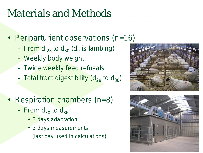### Materials and Methods

- Periparturient observations (n=16)
	- $-$  From d<sub>-28</sub> to d<sub>30</sub> (d<sub>0</sub> is lambing)
	- Weekly body weight
	- Twice weekly feed refusals
	- Total tract digestibility  $(d_{28}$  to  $d_{30})$
- Respiration chambers (n=8)
	- $-$  From  $d_{30}$  to  $d_{36}$ 
		- 3 days adaptation
		- 3 days measurements (last day used in calculations)



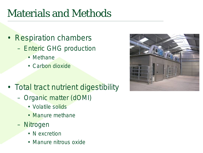### Materials and Methods

- Respiration chambers – Enteric GHG production
	- Methane
	- Carbon dioxide
- Total tract nutrient digestibility
	- Organic matter (dOMI)
		- Volatile solids
		- Manure methane
	- Nitrogen
		- N excretion
		- Manure nitrous oxide

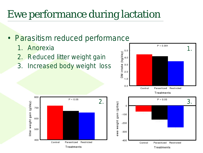### Ewe performance during lactation

#### • Parasitism reduced performance

- 1. Anorexia
- 2. Reduced litter weight gain
- 3. Increased body weight loss



Parasitized Restricted

Treatments

 $-300$ 

 $-400$ 

Control

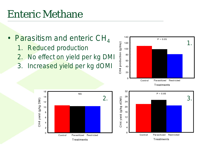### **Enteric Methane**

16

 $14$ 

 $12$ 

 $10$ 

8

6

 $\overline{4}$  $\overline{c}$ 

 $\mathbf 0$ 

Control

CH4 yield (g/kg DMI)

• Parasitism and enteric  $CH<sub>4</sub>$ 1. Reduced production 2. No effect on yield per kg DMI 3. Increased yield per kg dOMI



140

 $P < 0.05$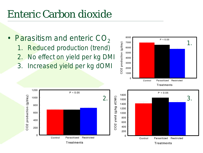#### Enteric Carbon dioxide

• Parasitism and enteric  $CO<sub>2</sub>$ 1. Reduced production (trend) 2. No effect on yield per kg DMI 3. Increased yield per kg dOMI

 $P < 0.05$ 

Parasitized Restricted

Treatments

1200

1000

800

600

400

200

 $\Omega$ 

Control

CO2 production (g/day)

2.

200



Parasitized

Treatments

Control

Restricted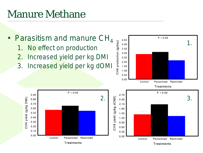### **Manure Methane**

 $0.90$ 

 $0.80$ 

0.70

0.60

 $0.50$ 

 $0.40$ 

0.30

 $0.20$ 

 $0.10$ 

 $0.00$ 

CH4 yield (g/kg DMI)

#### • Parasitism and manure  $CH<sub>4</sub>$

- 1. No effect on production
- 2. Increased yield per kg DMI
- 3. Increased yield per kg dOMI



Treatments

Treatments

Parasitized Restricted

Control

 $P < 0.05$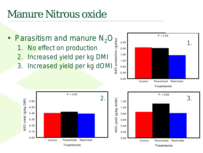### Manure Nitrous oxide

- Parasitism and manure  $N_2O$ 
	- 1. No effect on production
	- 2. Increased yield per kg DMI
	- 3. Increased yield per kg dOMI



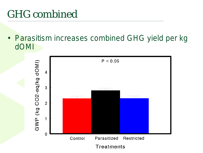### GHG combined

• Parasitism increases combined GHG yield per kg dOMI

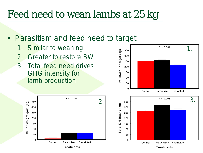### Feed need to wean lambs at 25 kg

#### • Parasitism and feed need to target

- 1. Similar to weaning
- 2. Greater to restore BW
- 3. Total feed need drives GHG intensity for lamb production



Treatments

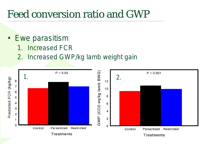#### Feed conversion ratio and GWP

- Ewe parasitism
	- 1. Increased FCR
	- 2. Increased GWP/kg lamb weight gain

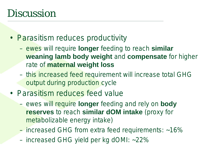#### **Discussion**

- Parasitism reduces productivity
	- ewes will require **longer** feeding to reach **similar weaning lamb body weight** and **compensate** for higher rate of **maternal weight loss**
	- this increased feed requirement will increase total GHG output during production cycle
- Parasitism reduces feed value
	- ewes will require **longer** feeding and rely on **body reserves** to reach **similar dOM intake** (proxy for metabolizable energy intake)
	- increased GHG from extra feed requirements: ~16%
	- increased GHG yield per kg dOMI: ~22%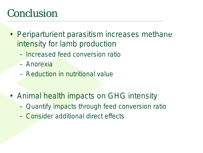### Conclusion

- **Periparturient parasitism increases methane** intensity for lamb production
	- Increased feed conversion ratio
	- Anorexia
	- Reduction in nutritional value
- Animal health impacts on GHG intensity
	- Quantify impacts through feed conversion ratio
	- Consider additional direct effects